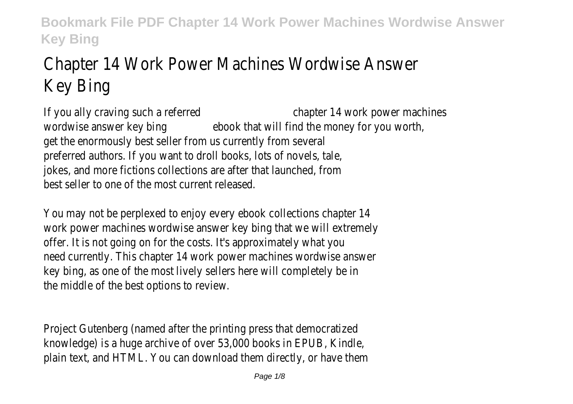# Chapter 14 Work Power Machines Wordwise Answer Key Bing

If you ally craving such a referred chapter 14 work power machines wordwise answer key bing ebook that will find the money for you worth, get the enormously best seller from us currently from several preferred authors. If you want to droll books, lots of novels, tale, jokes, and more fictions collections are after that launched, from best seller to one of the most current released.

You may not be perplexed to enjoy every ebook collections chapter 14 work power machines wordwise answer key bing that we will extremely offer. It is not going on for the costs. It's approximately what you need currently. This chapter 14 work power machines wordwise answer key bing, as one of the most lively sellers here will completely be in the middle of the best options to review.

Project Gutenberg (named after the printing press that democratized knowledge) is a huge archive of over 53,000 books in EPUB, Kindle, plain text, and HTML. You can download them directly, or have them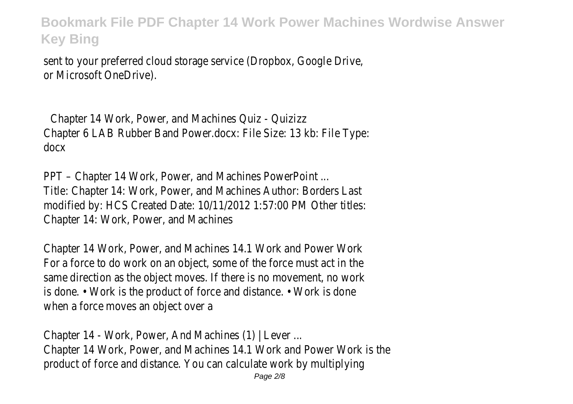sent to your preferred cloud storage service (Dropbox, Google Drive, or Microsoft OneDrive).

Chapter 14 Work, Power, and Machines Quiz - Quizizz Chapter 6 LAB Rubber Band Power.docx: File Size: 13 kb: File Type: docx

PPT – Chapter 14 Work, Power, and Machines PowerPoint ... Title: Chapter 14: Work, Power, and Machines Author: Borders Last modified by: HCS Created Date: 10/11/2012 1:57:00 PM Other titles: Chapter 14: Work, Power, and Machines

Chapter 14 Work, Power, and Machines 14.1 Work and Power Work For a force to do work on an object, some of the force must act in the same direction as the object moves. If there is no movement, no work is done. • Work is the product of force and distance. • Work is done when a force moves an object over a

Chapter 14 - Work, Power, And Machines (1) | Lever ... Chapter 14 Work, Power, and Machines 14.1 Work and Power Work is the product of force and distance. You can calculate work by multiplying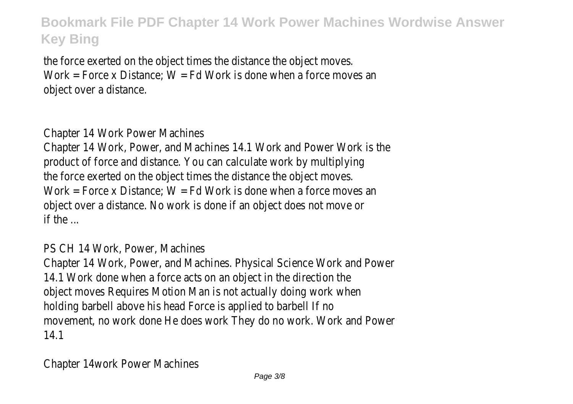the force exerted on the object times the distance the object moves. Work = Force x Distance;  $W = Fd$  Work is done when a force moves an object over a distance.

Chapter 14 Work Power Machines

Chapter 14 Work, Power, and Machines 14.1 Work and Power Work is the product of force and distance. You can calculate work by multiplying the force exerted on the object times the distance the object moves. Work = Force x Distance:  $W = Fd$  Work is done when a force moves an object over a distance. No work is done if an object does not move or if the ...

PS CH 14 Work, Power, Machines

Chapter 14 Work, Power, and Machines. Physical Science Work and Power 14.1 Work done when a force acts on an object in the direction the object moves Requires Motion Man is not actually doing work when holding barbell above his head Force is applied to barbell If no movement, no work done He does work They do no work. Work and Power 14.1

Chapter 14work Power Machines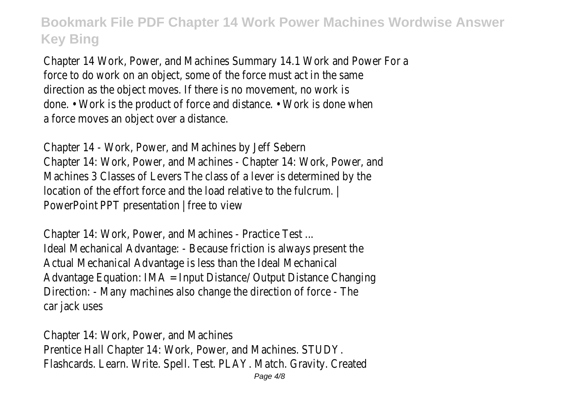Chapter 14 Work, Power, and Machines Summary 14.1 Work and Power For a force to do work on an object, some of the force must act in the same direction as the object moves. If there is no movement, no work is done. • Work is the product of force and distance. • Work is done when a force moves an object over a distance.

Chapter 14 - Work, Power, and Machines by Jeff Sebern Chapter 14: Work, Power, and Machines - Chapter 14: Work, Power, and Machines 3 Classes of Levers The class of a lever is determined by the location of the effort force and the load relative to the fulcrum. | PowerPoint PPT presentation | free to view

Chapter 14: Work, Power, and Machines - Practice Test ... Ideal Mechanical Advantage: - Because friction is always present the Actual Mechanical Advantage is less than the Ideal Mechanical Advantage Equation: IMA = Input Distance/ Output Distance Changing Direction: - Many machines also change the direction of force - The car jack uses

Chapter 14: Work, Power, and Machines Prentice Hall Chapter 14: Work, Power, and Machines. STUDY. Flashcards. Learn. Write. Spell. Test. PLAY. Match. Gravity. Created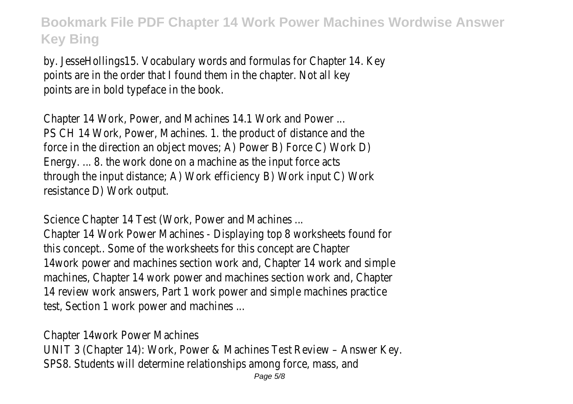by. JesseHollings15. Vocabulary words and formulas for Chapter 14. Key points are in the order that I found them in the chapter. Not all key points are in bold typeface in the book.

Chapter 14 Work, Power, and Machines 14.1 Work and Power ... PS CH 14 Work, Power, Machines. 1. the product of distance and the force in the direction an object moves; A) Power B) Force C) Work D) Energy. ... 8. the work done on a machine as the input force acts through the input distance; A) Work efficiency B) Work input C) Work resistance D) Work output.

Science Chapter 14 Test (Work, Power and Machines ...

Chapter 14 Work Power Machines - Displaying top 8 worksheets found for this concept.. Some of the worksheets for this concept are Chapter 14work power and machines section work and, Chapter 14 work and simple machines, Chapter 14 work power and machines section work and, Chapter 14 review work answers, Part 1 work power and simple machines practice test, Section 1 work power and machines ...

Chapter 14work Power Machines

UNIT 3 (Chapter 14): Work, Power & Machines Test Review – Answer Key. SPS8. Students will determine relationships among force, mass, and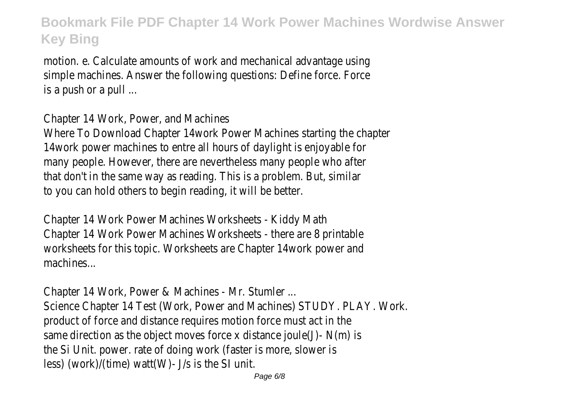motion. e. Calculate amounts of work and mechanical advantage using simple machines. Answer the following questions: Define force. Force is a push or a pull ...

Chapter 14 Work, Power, and Machines

Where To Download Chapter 14work Power Machines starting the chapter 14work power machines to entre all hours of daylight is enjoyable for many people. However, there are nevertheless many people who after that don't in the same way as reading. This is a problem. But, similar to you can hold others to begin reading, it will be better.

Chapter 14 Work Power Machines Worksheets - Kiddy Math Chapter 14 Work Power Machines Worksheets - there are 8 printable worksheets for this topic. Worksheets are Chapter 14work power and machines...

Chapter 14 Work, Power & Machines - Mr. Stumler ... Science Chapter 14 Test (Work, Power and Machines) STUDY. PLAY. Work. product of force and distance requires motion force must act in the same direction as the object moves force x distance joule(J)- $N(m)$  is the Si Unit. power. rate of doing work (faster is more, slower is less) (work)/(time) watt(W)- J/s is the SI unit.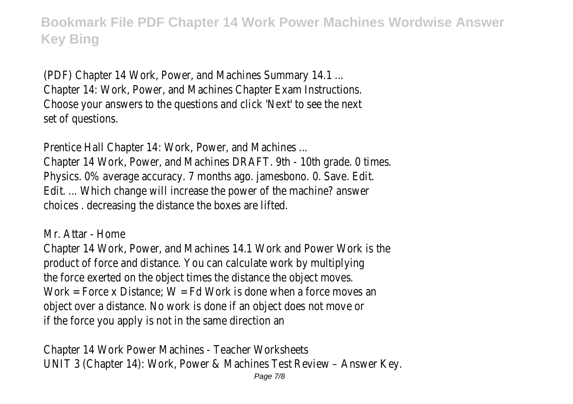(PDF) Chapter 14 Work, Power, and Machines Summary 14.1 ... Chapter 14: Work, Power, and Machines Chapter Exam Instructions. Choose your answers to the questions and click 'Next' to see the next set of questions.

Prentice Hall Chapter 14: Work, Power, and Machines ... Chapter 14 Work, Power, and Machines DRAFT. 9th - 10th grade. 0 times. Physics. 0% average accuracy. 7 months ago. jamesbono. 0. Save. Edit. Edit. ... Which change will increase the power of the machine? answer choices . decreasing the distance the boxes are lifted.

Mr. Attar - Home

Chapter 14 Work, Power, and Machines 14.1 Work and Power Work is the product of force and distance. You can calculate work by multiplying the force exerted on the object times the distance the object moves. Work = Force x Distance:  $W = Fd$  Work is done when a force moves an object over a distance. No work is done if an object does not move or if the force you apply is not in the same direction an

Chapter 14 Work Power Machines - Teacher Worksheets UNIT 3 (Chapter 14): Work, Power & Machines Test Review – Answer Key.